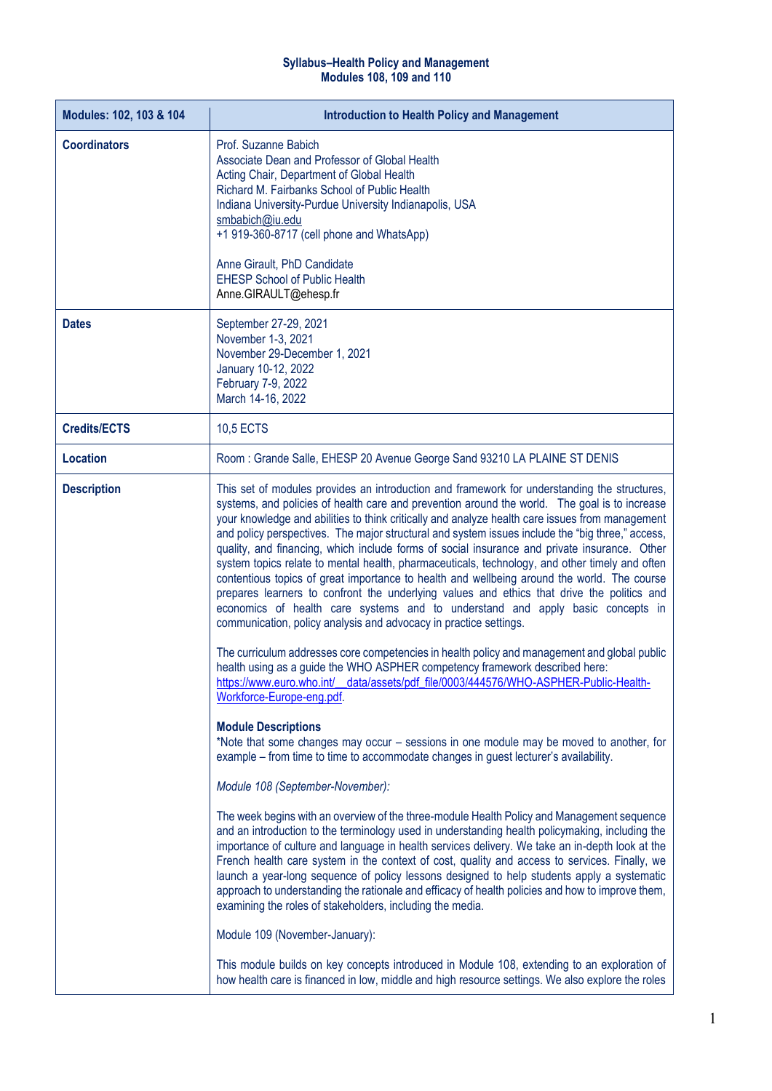## **Syllabus–Health Policy and Management Modules 108, 109 and 110**

| Modules: 102, 103 & 104 | <b>Introduction to Health Policy and Management</b>                                                                                                                                                                                                                                                                                                                                                                                                                                                                                                                                                                                                                                                                                                                                                                                                                                                                                                                                                                                                                                                                                                                                                                                                             |
|-------------------------|-----------------------------------------------------------------------------------------------------------------------------------------------------------------------------------------------------------------------------------------------------------------------------------------------------------------------------------------------------------------------------------------------------------------------------------------------------------------------------------------------------------------------------------------------------------------------------------------------------------------------------------------------------------------------------------------------------------------------------------------------------------------------------------------------------------------------------------------------------------------------------------------------------------------------------------------------------------------------------------------------------------------------------------------------------------------------------------------------------------------------------------------------------------------------------------------------------------------------------------------------------------------|
| <b>Coordinators</b>     | Prof. Suzanne Babich<br>Associate Dean and Professor of Global Health<br>Acting Chair, Department of Global Health<br>Richard M. Fairbanks School of Public Health<br>Indiana University-Purdue University Indianapolis, USA<br>smbabich@iu.edu<br>+1 919-360-8717 (cell phone and WhatsApp)<br>Anne Girault, PhD Candidate<br><b>EHESP School of Public Health</b><br>Anne.GIRAULT@ehesp.fr                                                                                                                                                                                                                                                                                                                                                                                                                                                                                                                                                                                                                                                                                                                                                                                                                                                                    |
| <b>Dates</b>            | September 27-29, 2021<br>November 1-3, 2021<br>November 29-December 1, 2021<br>January 10-12, 2022<br>February 7-9, 2022<br>March 14-16, 2022                                                                                                                                                                                                                                                                                                                                                                                                                                                                                                                                                                                                                                                                                                                                                                                                                                                                                                                                                                                                                                                                                                                   |
| <b>Credits/ECTS</b>     | <b>10,5 ECTS</b>                                                                                                                                                                                                                                                                                                                                                                                                                                                                                                                                                                                                                                                                                                                                                                                                                                                                                                                                                                                                                                                                                                                                                                                                                                                |
| <b>Location</b>         | Room: Grande Salle, EHESP 20 Avenue George Sand 93210 LA PLAINE ST DENIS                                                                                                                                                                                                                                                                                                                                                                                                                                                                                                                                                                                                                                                                                                                                                                                                                                                                                                                                                                                                                                                                                                                                                                                        |
| <b>Description</b>      | This set of modules provides an introduction and framework for understanding the structures,<br>systems, and policies of health care and prevention around the world. The goal is to increase<br>your knowledge and abilities to think critically and analyze health care issues from management<br>and policy perspectives. The major structural and system issues include the "big three," access,<br>quality, and financing, which include forms of social insurance and private insurance. Other<br>system topics relate to mental health, pharmaceuticals, technology, and other timely and often<br>contentious topics of great importance to health and wellbeing around the world. The course<br>prepares learners to confront the underlying values and ethics that drive the politics and<br>economics of health care systems and to understand and apply basic concepts in<br>communication, policy analysis and advocacy in practice settings.<br>The curriculum addresses core competencies in health policy and management and global public<br>health using as a guide the WHO ASPHER competency framework described here:<br>https://www.euro.who.int/__data/assets/pdf_file/0003/444576/WHO-ASPHER-Public-Health-<br>Workforce-Europe-eng.pdf. |
|                         | <b>Module Descriptions</b><br>*Note that some changes may occur - sessions in one module may be moved to another, for<br>example – from time to time to accommodate changes in guest lecturer's availability.<br>Module 108 (September-November):<br>The week begins with an overview of the three-module Health Policy and Management sequence<br>and an introduction to the terminology used in understanding health policymaking, including the<br>importance of culture and language in health services delivery. We take an in-depth look at the<br>French health care system in the context of cost, quality and access to services. Finally, we<br>launch a year-long sequence of policy lessons designed to help students apply a systematic<br>approach to understanding the rationale and efficacy of health policies and how to improve them,<br>examining the roles of stakeholders, including the media.<br>Module 109 (November-January):<br>This module builds on key concepts introduced in Module 108, extending to an exploration of                                                                                                                                                                                                          |
|                         | how health care is financed in low, middle and high resource settings. We also explore the roles                                                                                                                                                                                                                                                                                                                                                                                                                                                                                                                                                                                                                                                                                                                                                                                                                                                                                                                                                                                                                                                                                                                                                                |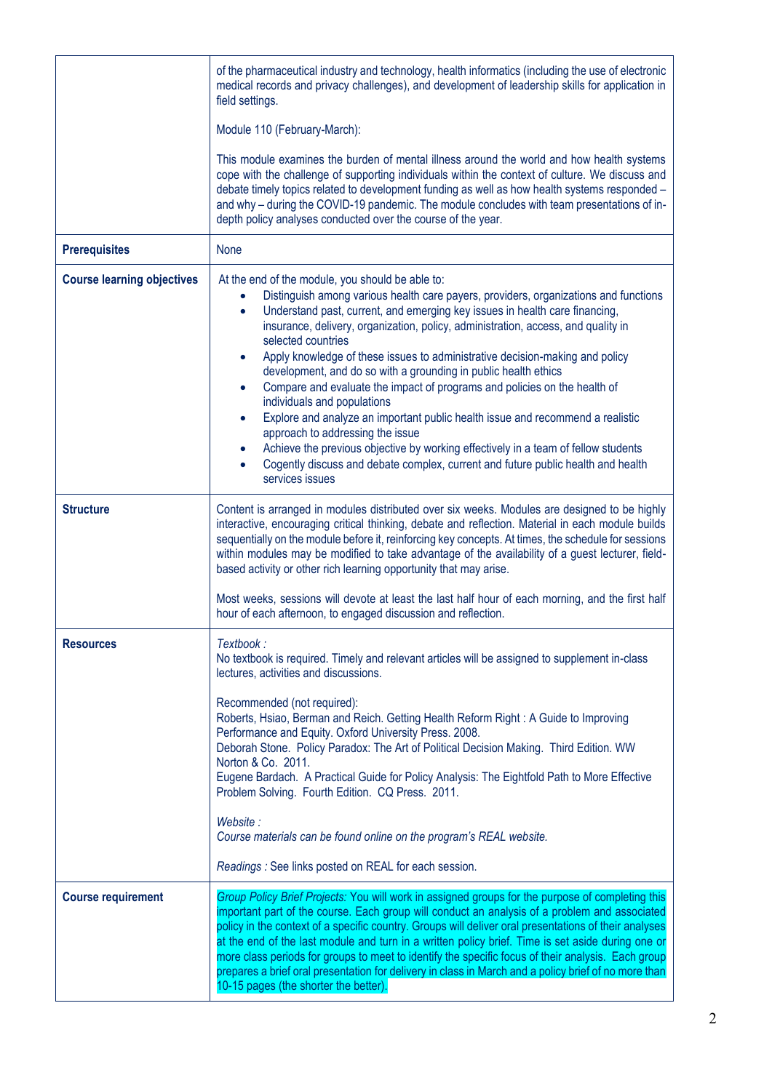|                                   | of the pharmaceutical industry and technology, health informatics (including the use of electronic<br>medical records and privacy challenges), and development of leadership skills for application in<br>field settings.<br>Module 110 (February-March):<br>This module examines the burden of mental illness around the world and how health systems<br>cope with the challenge of supporting individuals within the context of culture. We discuss and<br>debate timely topics related to development funding as well as how health systems responded -<br>and why - during the COVID-19 pandemic. The module concludes with team presentations of in-<br>depth policy analyses conducted over the course of the year.                                                                                                                                                                                                         |
|-----------------------------------|-----------------------------------------------------------------------------------------------------------------------------------------------------------------------------------------------------------------------------------------------------------------------------------------------------------------------------------------------------------------------------------------------------------------------------------------------------------------------------------------------------------------------------------------------------------------------------------------------------------------------------------------------------------------------------------------------------------------------------------------------------------------------------------------------------------------------------------------------------------------------------------------------------------------------------------|
| <b>Prerequisites</b>              | None                                                                                                                                                                                                                                                                                                                                                                                                                                                                                                                                                                                                                                                                                                                                                                                                                                                                                                                              |
| <b>Course learning objectives</b> | At the end of the module, you should be able to:<br>Distinguish among various health care payers, providers, organizations and functions<br>Understand past, current, and emerging key issues in health care financing,<br>$\bullet$<br>insurance, delivery, organization, policy, administration, access, and quality in<br>selected countries<br>Apply knowledge of these issues to administrative decision-making and policy<br>development, and do so with a grounding in public health ethics<br>Compare and evaluate the impact of programs and policies on the health of<br>individuals and populations<br>Explore and analyze an important public health issue and recommend a realistic<br>approach to addressing the issue<br>Achieve the previous objective by working effectively in a team of fellow students<br>Cogently discuss and debate complex, current and future public health and health<br>services issues |
| <b>Structure</b>                  | Content is arranged in modules distributed over six weeks. Modules are designed to be highly<br>interactive, encouraging critical thinking, debate and reflection. Material in each module builds<br>sequentially on the module before it, reinforcing key concepts. At times, the schedule for sessions<br>within modules may be modified to take advantage of the availability of a guest lecturer, field-<br>based activity or other rich learning opportunity that may arise.<br>Most weeks, sessions will devote at least the last half hour of each morning, and the first half<br>hour of each afternoon, to engaged discussion and reflection.                                                                                                                                                                                                                                                                            |
| <b>Resources</b>                  | Textbook:<br>No textbook is required. Timely and relevant articles will be assigned to supplement in-class<br>lectures, activities and discussions.<br>Recommended (not required):<br>Roberts, Hsiao, Berman and Reich. Getting Health Reform Right: A Guide to Improving<br>Performance and Equity. Oxford University Press. 2008.<br>Deborah Stone. Policy Paradox: The Art of Political Decision Making. Third Edition. WW<br>Norton & Co. 2011.<br>Eugene Bardach. A Practical Guide for Policy Analysis: The Eightfold Path to More Effective<br>Problem Solving. Fourth Edition. CQ Press. 2011.<br>Website:<br>Course materials can be found online on the program's REAL website.<br>Readings : See links posted on REAL for each session.                                                                                                                                                                                |
| <b>Course requirement</b>         | Group Policy Brief Projects: You will work in assigned groups for the purpose of completing this<br>important part of the course. Each group will conduct an analysis of a problem and associated<br>policy in the context of a specific country. Groups will deliver oral presentations of their analyses<br>at the end of the last module and turn in a written policy brief. Time is set aside during one or<br>more class periods for groups to meet to identify the specific focus of their analysis. Each group<br>prepares a brief oral presentation for delivery in class in March and a policy brief of no more than<br>10-15 pages (the shorter the better).                                                                                                                                                                                                                                                            |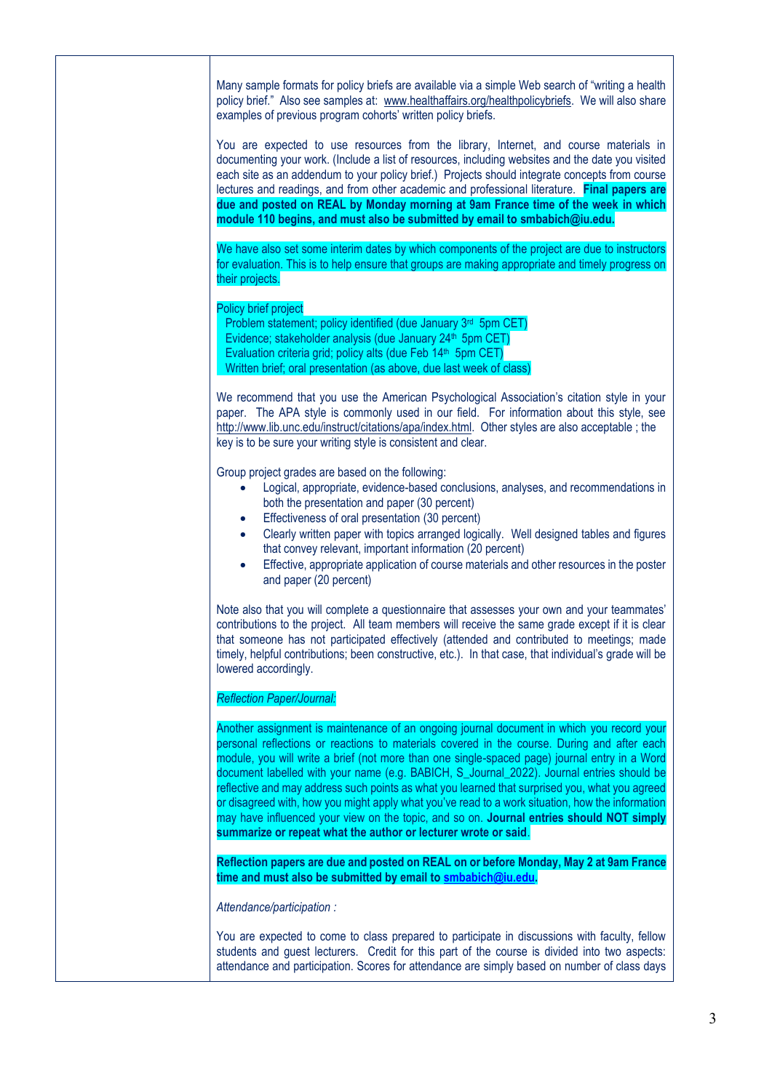Many sample formats for policy briefs are available via a simple Web search of "writing a health policy brief." Also see samples at: [www.healthaffairs.org/healthpolicybriefs.](http://www.healthaffairs.org/healthpolicybriefs) We will also share examples of previous program cohorts' written policy briefs.

You are expected to use resources from the library, Internet, and course materials in documenting your work. (Include a list of resources, including websites and the date you visited each site as an addendum to your policy brief.) Projects should integrate concepts from course lectures and readings, and from other academic and professional literature. **Final papers are due and posted on REAL by Monday morning at 9am France time of the week in which module 110 begins, and must also be submitted by email to smbabich@iu.edu.**

We have also set some interim dates by which components of the project are due to instructors for evaluation. This is to help ensure that groups are making appropriate and timely progress on their projects.

Policy brief project

Problem statement; policy identified (due January 3<sup>rd</sup> 5pm CET) Evidence: stakeholder analysis (due January 24<sup>th</sup> 5pm CET) Evaluation criteria grid; policy alts (due Feb  $14<sup>th</sup>$  5pm CET) Written brief; oral presentation (as above, due last week of class)

We recommend that you use the American Psychological Association's citation style in your paper. The APA style is commonly used in our field. For information about this style, see [http://www.lib.unc.edu/instruct/citations/apa/index.html.](http://www.lib.unc.edu/instruct/citations/apa/index.html) Other styles are also acceptable ; the key is to be sure your writing style is consistent and clear.

Group project grades are based on the following:

- Logical, appropriate, evidence-based conclusions, analyses, and recommendations in both the presentation and paper (30 percent)
- **Effectiveness of oral presentation (30 percent)**
- Clearly written paper with topics arranged logically. Well designed tables and figures that convey relevant, important information (20 percent)
- Effective, appropriate application of course materials and other resources in the poster and paper (20 percent)

Note also that you will complete a questionnaire that assesses your own and your teammates' contributions to the project. All team members will receive the same grade except if it is clear that someone has not participated effectively (attended and contributed to meetings; made timely, helpful contributions; been constructive, etc.). In that case, that individual's grade will be lowered accordingly.

## *Reflection Paper/Journal:*

Another assignment is maintenance of an ongoing journal document in which you record your personal reflections or reactions to materials covered in the course. During and after each module, you will write a brief (not more than one single-spaced page) journal entry in a Word document labelled with your name (e.g. BABICH, S\_Journal\_2022). Journal entries should be reflective and may address such points as what you learned that surprised you, what you agreed or disagreed with, how you might apply what you've read to a work situation, how the information may have influenced your view on the topic, and so on. **Journal entries should NOT simply summarize or repeat what the author or lecturer wrote or said**.

**Reflection papers are due and posted on REAL on or before Monday, May 2 at 9am France time and must also be submitted by email to [smbabich@iu.edu.](mailto:smbabich@iu.edu)**

*Attendance/participation :*

You are expected to come to class prepared to participate in discussions with faculty, fellow students and guest lecturers. Credit for this part of the course is divided into two aspects: attendance and participation. Scores for attendance are simply based on number of class days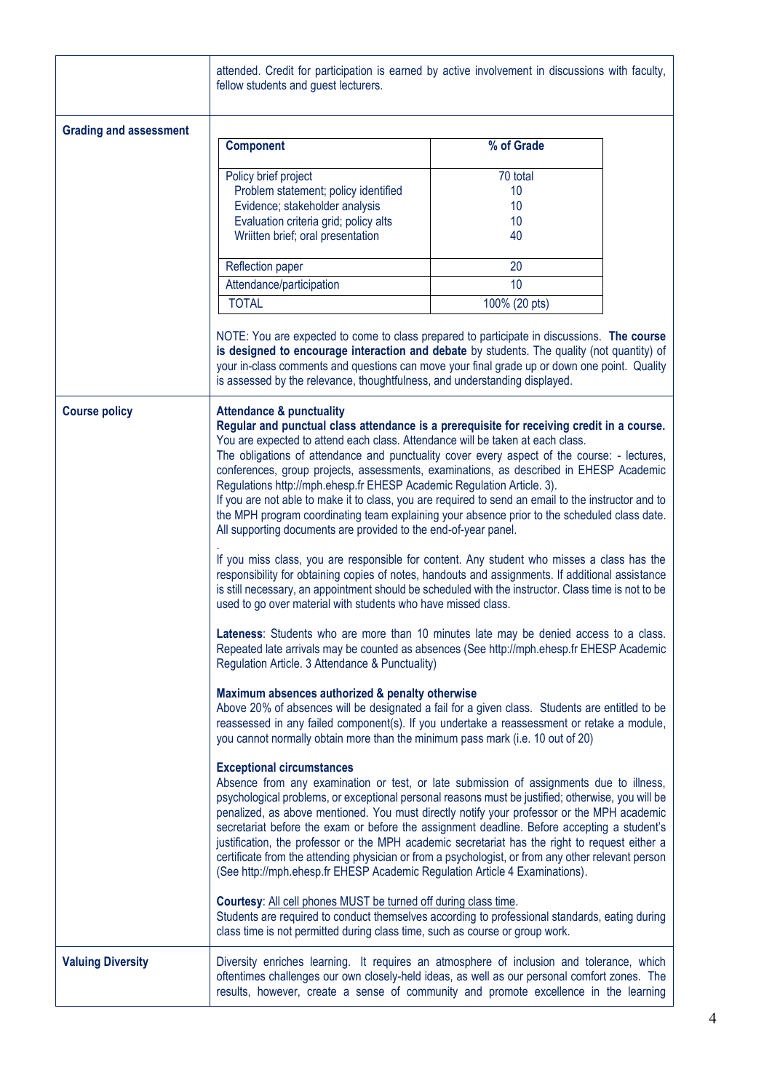|                               | fellow students and guest lecturers.                                                                                                                                                                                                                                                                                                                                                                                                                                                                                                                                                                                                                                                                                                                                                                                                                                                                                                                                                                                                                                                                                                                                                                                                                                                                                                                                                                                                                                                                                                                                                                                                                                                                                                                                                                                                                                                                                                                                                                                                                                                                                                                                                                                                                                                                                                                                                                                                                                                                                                                                                                                 | attended. Credit for participation is earned by active involvement in discussions with faculty,                                                                                                                                                                                          |
|-------------------------------|----------------------------------------------------------------------------------------------------------------------------------------------------------------------------------------------------------------------------------------------------------------------------------------------------------------------------------------------------------------------------------------------------------------------------------------------------------------------------------------------------------------------------------------------------------------------------------------------------------------------------------------------------------------------------------------------------------------------------------------------------------------------------------------------------------------------------------------------------------------------------------------------------------------------------------------------------------------------------------------------------------------------------------------------------------------------------------------------------------------------------------------------------------------------------------------------------------------------------------------------------------------------------------------------------------------------------------------------------------------------------------------------------------------------------------------------------------------------------------------------------------------------------------------------------------------------------------------------------------------------------------------------------------------------------------------------------------------------------------------------------------------------------------------------------------------------------------------------------------------------------------------------------------------------------------------------------------------------------------------------------------------------------------------------------------------------------------------------------------------------------------------------------------------------------------------------------------------------------------------------------------------------------------------------------------------------------------------------------------------------------------------------------------------------------------------------------------------------------------------------------------------------------------------------------------------------------------------------------------------------|------------------------------------------------------------------------------------------------------------------------------------------------------------------------------------------------------------------------------------------------------------------------------------------|
| <b>Grading and assessment</b> |                                                                                                                                                                                                                                                                                                                                                                                                                                                                                                                                                                                                                                                                                                                                                                                                                                                                                                                                                                                                                                                                                                                                                                                                                                                                                                                                                                                                                                                                                                                                                                                                                                                                                                                                                                                                                                                                                                                                                                                                                                                                                                                                                                                                                                                                                                                                                                                                                                                                                                                                                                                                                      |                                                                                                                                                                                                                                                                                          |
|                               | <b>Component</b>                                                                                                                                                                                                                                                                                                                                                                                                                                                                                                                                                                                                                                                                                                                                                                                                                                                                                                                                                                                                                                                                                                                                                                                                                                                                                                                                                                                                                                                                                                                                                                                                                                                                                                                                                                                                                                                                                                                                                                                                                                                                                                                                                                                                                                                                                                                                                                                                                                                                                                                                                                                                     | % of Grade                                                                                                                                                                                                                                                                               |
|                               | Policy brief project                                                                                                                                                                                                                                                                                                                                                                                                                                                                                                                                                                                                                                                                                                                                                                                                                                                                                                                                                                                                                                                                                                                                                                                                                                                                                                                                                                                                                                                                                                                                                                                                                                                                                                                                                                                                                                                                                                                                                                                                                                                                                                                                                                                                                                                                                                                                                                                                                                                                                                                                                                                                 | 70 total                                                                                                                                                                                                                                                                                 |
|                               | Problem statement; policy identified                                                                                                                                                                                                                                                                                                                                                                                                                                                                                                                                                                                                                                                                                                                                                                                                                                                                                                                                                                                                                                                                                                                                                                                                                                                                                                                                                                                                                                                                                                                                                                                                                                                                                                                                                                                                                                                                                                                                                                                                                                                                                                                                                                                                                                                                                                                                                                                                                                                                                                                                                                                 | 10                                                                                                                                                                                                                                                                                       |
|                               | Evidence; stakeholder analysis                                                                                                                                                                                                                                                                                                                                                                                                                                                                                                                                                                                                                                                                                                                                                                                                                                                                                                                                                                                                                                                                                                                                                                                                                                                                                                                                                                                                                                                                                                                                                                                                                                                                                                                                                                                                                                                                                                                                                                                                                                                                                                                                                                                                                                                                                                                                                                                                                                                                                                                                                                                       | 10                                                                                                                                                                                                                                                                                       |
|                               | Evaluation criteria grid; policy alts<br>Wriitten brief; oral presentation                                                                                                                                                                                                                                                                                                                                                                                                                                                                                                                                                                                                                                                                                                                                                                                                                                                                                                                                                                                                                                                                                                                                                                                                                                                                                                                                                                                                                                                                                                                                                                                                                                                                                                                                                                                                                                                                                                                                                                                                                                                                                                                                                                                                                                                                                                                                                                                                                                                                                                                                           | 10<br>40                                                                                                                                                                                                                                                                                 |
|                               |                                                                                                                                                                                                                                                                                                                                                                                                                                                                                                                                                                                                                                                                                                                                                                                                                                                                                                                                                                                                                                                                                                                                                                                                                                                                                                                                                                                                                                                                                                                                                                                                                                                                                                                                                                                                                                                                                                                                                                                                                                                                                                                                                                                                                                                                                                                                                                                                                                                                                                                                                                                                                      |                                                                                                                                                                                                                                                                                          |
|                               | Reflection paper                                                                                                                                                                                                                                                                                                                                                                                                                                                                                                                                                                                                                                                                                                                                                                                                                                                                                                                                                                                                                                                                                                                                                                                                                                                                                                                                                                                                                                                                                                                                                                                                                                                                                                                                                                                                                                                                                                                                                                                                                                                                                                                                                                                                                                                                                                                                                                                                                                                                                                                                                                                                     | 20                                                                                                                                                                                                                                                                                       |
|                               | Attendance/participation                                                                                                                                                                                                                                                                                                                                                                                                                                                                                                                                                                                                                                                                                                                                                                                                                                                                                                                                                                                                                                                                                                                                                                                                                                                                                                                                                                                                                                                                                                                                                                                                                                                                                                                                                                                                                                                                                                                                                                                                                                                                                                                                                                                                                                                                                                                                                                                                                                                                                                                                                                                             | 10                                                                                                                                                                                                                                                                                       |
|                               | <b>TOTAL</b>                                                                                                                                                                                                                                                                                                                                                                                                                                                                                                                                                                                                                                                                                                                                                                                                                                                                                                                                                                                                                                                                                                                                                                                                                                                                                                                                                                                                                                                                                                                                                                                                                                                                                                                                                                                                                                                                                                                                                                                                                                                                                                                                                                                                                                                                                                                                                                                                                                                                                                                                                                                                         | 100% (20 pts)                                                                                                                                                                                                                                                                            |
|                               | is assessed by the relevance, thoughtfulness, and understanding displayed.                                                                                                                                                                                                                                                                                                                                                                                                                                                                                                                                                                                                                                                                                                                                                                                                                                                                                                                                                                                                                                                                                                                                                                                                                                                                                                                                                                                                                                                                                                                                                                                                                                                                                                                                                                                                                                                                                                                                                                                                                                                                                                                                                                                                                                                                                                                                                                                                                                                                                                                                           | NOTE: You are expected to come to class prepared to participate in discussions. The course<br>is designed to encourage interaction and debate by students. The quality (not quantity) of<br>your in-class comments and questions can move your final grade up or down one point. Quality |
| <b>Course policy</b>          | <b>Attendance &amp; punctuality</b><br>Regular and punctual class attendance is a prerequisite for receiving credit in a course.<br>You are expected to attend each class. Attendance will be taken at each class.<br>The obligations of attendance and punctuality cover every aspect of the course: - lectures,<br>conferences, group projects, assessments, examinations, as described in EHESP Academic<br>Regulations http://mph.ehesp.fr EHESP Academic Regulation Article. 3).<br>If you are not able to make it to class, you are required to send an email to the instructor and to<br>the MPH program coordinating team explaining your absence prior to the scheduled class date.<br>All supporting documents are provided to the end-of-year panel.<br>If you miss class, you are responsible for content. Any student who misses a class has the<br>responsibility for obtaining copies of notes, handouts and assignments. If additional assistance<br>is still necessary, an appointment should be scheduled with the instructor. Class time is not to be<br>used to go over material with students who have missed class.<br>Lateness: Students who are more than 10 minutes late may be denied access to a class.<br>Repeated late arrivals may be counted as absences (See http://mph.ehesp.fr EHESP Academic<br>Regulation Article. 3 Attendance & Punctuality)<br>Maximum absences authorized & penalty otherwise<br>Above 20% of absences will be designated a fail for a given class. Students are entitled to be<br>reassessed in any failed component(s). If you undertake a reassessment or retake a module,<br>you cannot normally obtain more than the minimum pass mark (i.e. 10 out of 20)<br><b>Exceptional circumstances</b><br>Absence from any examination or test, or late submission of assignments due to illness,<br>psychological problems, or exceptional personal reasons must be justified; otherwise, you will be<br>penalized, as above mentioned. You must directly notify your professor or the MPH academic<br>secretariat before the exam or before the assignment deadline. Before accepting a student's<br>justification, the professor or the MPH academic secretariat has the right to request either a<br>certificate from the attending physician or from a psychologist, or from any other relevant person<br>(See http://mph.ehesp.fr EHESP Academic Regulation Article 4 Examinations).<br>Courtesy: All cell phones MUST be turned off during class time.<br>Students are required to conduct themselves according to professional standards, eating during |                                                                                                                                                                                                                                                                                          |
| <b>Valuing Diversity</b>      |                                                                                                                                                                                                                                                                                                                                                                                                                                                                                                                                                                                                                                                                                                                                                                                                                                                                                                                                                                                                                                                                                                                                                                                                                                                                                                                                                                                                                                                                                                                                                                                                                                                                                                                                                                                                                                                                                                                                                                                                                                                                                                                                                                                                                                                                                                                                                                                                                                                                                                                                                                                                                      | Diversity enriches learning. It requires an atmosphere of inclusion and tolerance, which<br>oftentimes challenges our own closely-held ideas, as well as our personal comfort zones. The<br>results, however, create a sense of community and promote excellence in the learning         |